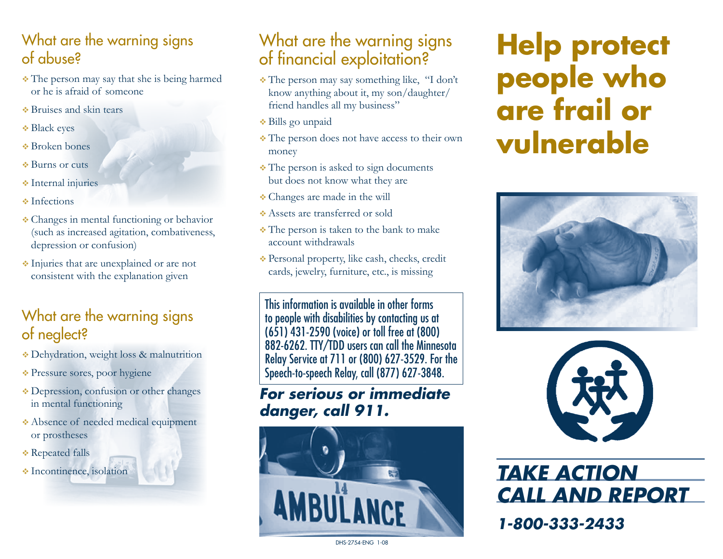## What are the warning signs of abuse?

- The person may say that she is being harmed or he is afraid of someone
- Bruises and skin tears
- **◆ Black eyes**
- Broken bones
- **Burns** or cuts
- **Internal injuries**
- $\cdot$  Infections
- Changes in mental functioning or behavior (such as increased agitation, combativeness, depression or confusion)
- Injuries that are unexplained or are not consistent with the explanation given

## What are the warning signs of neglect?

- Dehydration, weight loss & malnutrition
- Pressure sores, poor hygiene
- Depression, confusion or other changes in mental functioning
- Absence of needed medical equipment or prostheses
- **Exercise Falls**
- 

## What are the warning signs of financial exploitation?

- The person may say something like, "I don't know anything about it, my son/daughter/ friend handles all my business"
- Bills go unpaid
- The person does not have access to their own money
- The person is asked to sign documents but does not know what they are
- Changes are made in the will
- Assets are transferred or sold
- The person is taken to the bank to make account withdrawals
- Personal property, like cash, checks, credit cards, jewelry, furniture, etc., is missing

This information is available in other forms to people with disabilities by contacting us at (651) 431-2590 (voice) or toll free at (800) 882-6262. TTY/TDD users can call the Minnesota Relay Service at 711 or (800) 627-3529. For the Speech-to-speech Relay, call (877) 627-3848.

## *For serious or immediate danger, call 911.*



# **Help protect people who are frail or vulnerable**





*Call and report*

*1-800-333-2433*